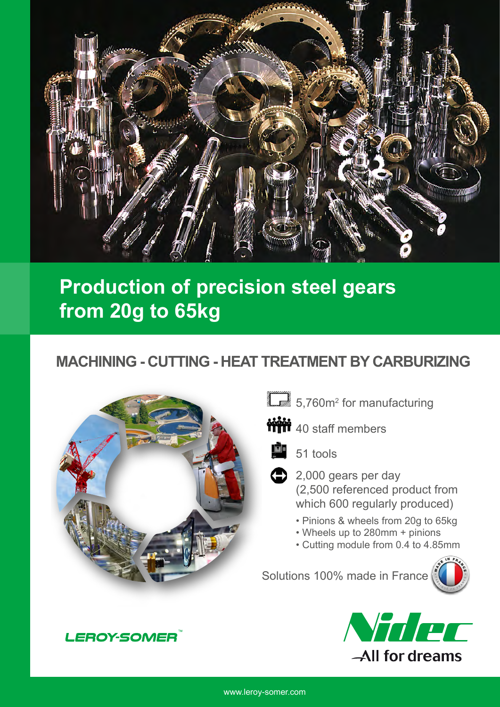

## **Production of precision steel gears from 20g to 65kg**

### **MACHINING - CUTTING - HEAT TREATMENT BY CARBURIZING**



- 5,760m<sup>2</sup> for manufacturing
- **MM** 40 staff members



- $2,000$  gears per day (2,500 referenced product from which 600 regularly produced)
	- Pinions & wheels from 20g to 65kg
	- Wheels up to 280mm + pinions
	- Cutting module from 0.4 to 4.85mm

Solutions 100% made in France





**LEROY-SOMER**